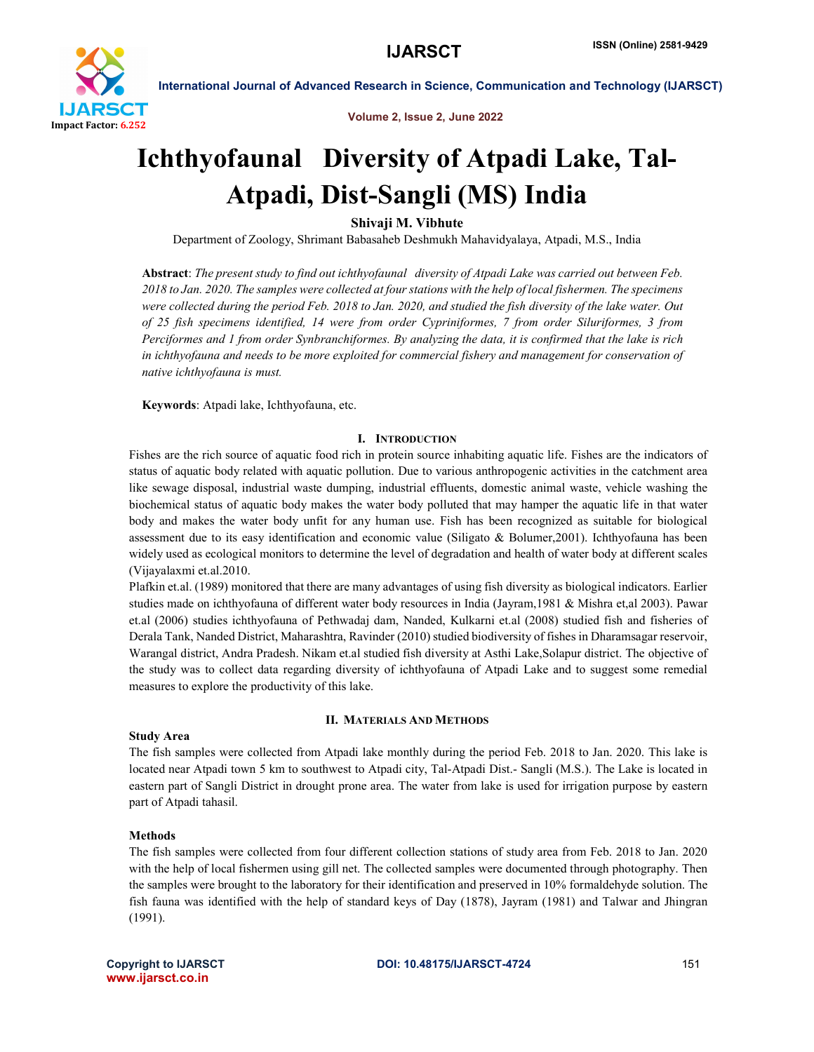

Volume 2, Issue 2, June 2022

# Ichthyofaunal Diversity of Atpadi Lake, Tal-Atpadi, Dist-Sangli (MS) India

Shivaji M. Vibhute

Department of Zoology, Shrimant Babasaheb Deshmukh Mahavidyalaya, Atpadi, M.S., India

Abstract: *The present study to find out ichthyofaunal diversity of Atpadi Lake was carried out between Feb. 2018 to Jan. 2020. The samples were collected at four stations with the help of local fishermen. The specimens were collected during the period Feb. 2018 to Jan. 2020, and studied the fish diversity of the lake water. Out of 25 fish specimens identified, 14 were from order Cypriniformes, 7 from order Siluriformes, 3 from Perciformes and 1 from order Synbranchiformes. By analyzing the data, it is confirmed that the lake is rich in ichthyofauna and needs to be more exploited for commercial fishery and management for conservation of native ichthyofauna is must.* 

Keywords: Atpadi lake, Ichthyofauna, etc.

## I. INTRODUCTION

Fishes are the rich source of aquatic food rich in protein source inhabiting aquatic life. Fishes are the indicators of status of aquatic body related with aquatic pollution. Due to various anthropogenic activities in the catchment area like sewage disposal, industrial waste dumping, industrial effluents, domestic animal waste, vehicle washing the biochemical status of aquatic body makes the water body polluted that may hamper the aquatic life in that water body and makes the water body unfit for any human use. Fish has been recognized as suitable for biological assessment due to its easy identification and economic value (Siligato & Bolumer,2001). Ichthyofauna has been widely used as ecological monitors to determine the level of degradation and health of water body at different scales (Vijayalaxmi et.al.2010.

Plafkin et.al. (1989) monitored that there are many advantages of using fish diversity as biological indicators. Earlier studies made on ichthyofauna of different water body resources in India (Jayram,1981 & Mishra et,al 2003). Pawar et.al (2006) studies ichthyofauna of Pethwadaj dam, Nanded, Kulkarni et.al (2008) studied fish and fisheries of Derala Tank, Nanded District, Maharashtra, Ravinder (2010) studied biodiversity of fishes in Dharamsagar reservoir, Warangal district, Andra Pradesh. Nikam et.al studied fish diversity at Asthi Lake,Solapur district. The objective of the study was to collect data regarding diversity of ichthyofauna of Atpadi Lake and to suggest some remedial measures to explore the productivity of this lake.

# II. MATERIALS AND METHODS

### Study Area

The fish samples were collected from Atpadi lake monthly during the period Feb. 2018 to Jan. 2020. This lake is located near Atpadi town 5 km to southwest to Atpadi city, Tal-Atpadi Dist.- Sangli (M.S.). The Lake is located in eastern part of Sangli District in drought prone area. The water from lake is used for irrigation purpose by eastern part of Atpadi tahasil.

## Methods

The fish samples were collected from four different collection stations of study area from Feb. 2018 to Jan. 2020 with the help of local fishermen using gill net. The collected samples were documented through photography. Then the samples were brought to the laboratory for their identification and preserved in 10% formaldehyde solution. The fish fauna was identified with the help of standard keys of Day (1878), Jayram (1981) and Talwar and Jhingran (1991).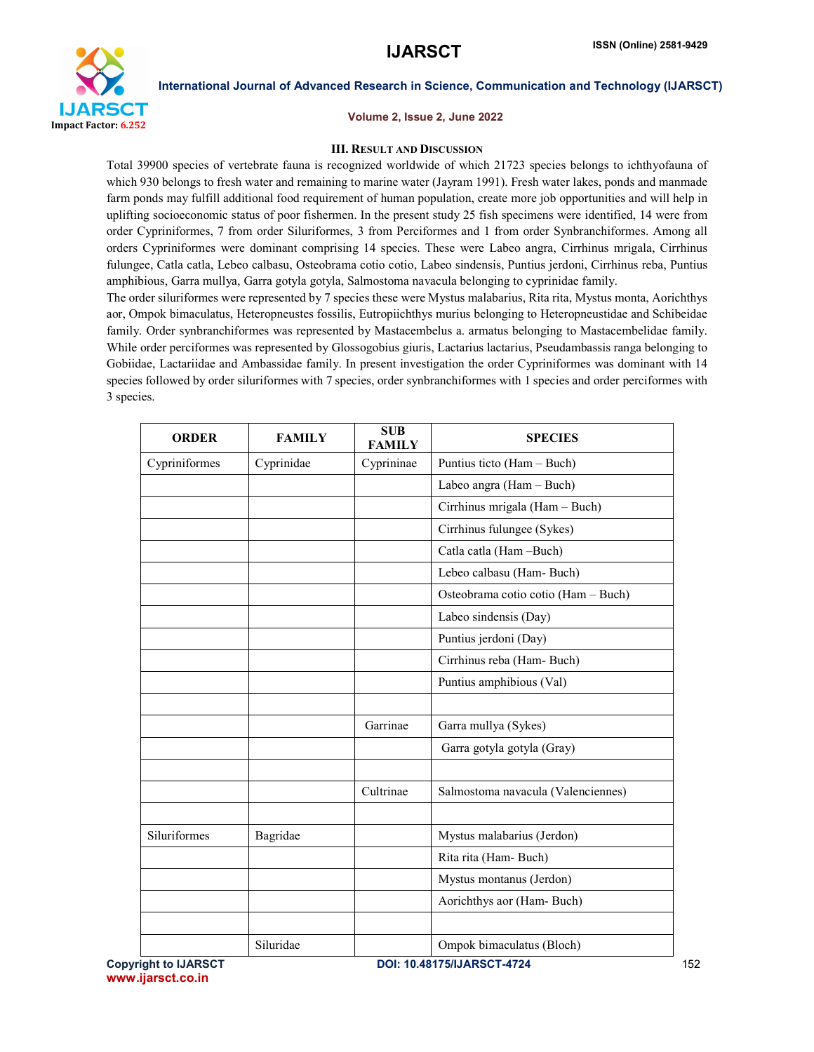

### Volume 2, Issue 2, June 2022

## III. RESULT AND DISCUSSION

Total 39900 species of vertebrate fauna is recognized worldwide of which 21723 species belongs to ichthyofauna of which 930 belongs to fresh water and remaining to marine water (Jayram 1991). Fresh water lakes, ponds and manmade farm ponds may fulfill additional food requirement of human population, create more job opportunities and will help in uplifting socioeconomic status of poor fishermen. In the present study 25 fish specimens were identified, 14 were from order Cypriniformes, 7 from order Siluriformes, 3 from Perciformes and 1 from order Synbranchiformes. Among all orders Cypriniformes were dominant comprising 14 species. These were Labeo angra, Cirrhinus mrigala, Cirrhinus fulungee, Catla catla, Lebeo calbasu, Osteobrama cotio cotio, Labeo sindensis, Puntius jerdoni, Cirrhinus reba, Puntius amphibious, Garra mullya, Garra gotyla gotyla, Salmostoma navacula belonging to cyprinidae family.

The order siluriformes were represented by 7 species these were Mystus malabarius, Rita rita, Mystus monta, Aorichthys aor, Ompok bimaculatus, Heteropneustes fossilis, Eutropiichthys murius belonging to Heteropneustidae and Schibeidae family. Order synbranchiformes was represented by Mastacembelus a. armatus belonging to Mastacembelidae family. While order perciformes was represented by Glossogobius giuris, Lactarius lactarius, Pseudambassis ranga belonging to Gobiidae, Lactariidae and Ambassidae family. In present investigation the order Cypriniformes was dominant with 14 species followed by order siluriformes with 7 species, order synbranchiformes with 1 species and order perciformes with 3 species.

| <b>ORDER</b>  | <b>FAMILY</b> | <b>SUB</b><br><b>FAMILY</b> | <b>SPECIES</b>                      |
|---------------|---------------|-----------------------------|-------------------------------------|
| Cypriniformes | Cyprinidae    | Cyprininae                  | Puntius ticto (Ham - Buch)          |
|               |               |                             | Labeo angra (Ham - Buch)            |
|               |               |                             | Cirrhinus mrigala (Ham - Buch)      |
|               |               |                             | Cirrhinus fulungee (Sykes)          |
|               |               |                             | Catla catla (Ham -Buch)             |
|               |               |                             | Lebeo calbasu (Ham-Buch)            |
|               |               |                             | Osteobrama cotio cotio (Ham - Buch) |
|               |               |                             | Labeo sindensis (Day)               |
|               |               |                             | Puntius jerdoni (Day)               |
|               |               |                             | Cirrhinus reba (Ham-Buch)           |
|               |               |                             | Puntius amphibious (Val)            |
|               |               |                             |                                     |
|               |               | Garrinae                    | Garra mullya (Sykes)                |
|               |               |                             | Garra gotyla gotyla (Gray)          |
|               |               |                             |                                     |
|               |               | Cultrinae                   | Salmostoma navacula (Valenciennes)  |
|               |               |                             |                                     |
| Siluriformes  | Bagridae      |                             | Mystus malabarius (Jerdon)          |
|               |               |                             | Rita rita (Ham-Buch)                |
|               |               |                             | Mystus montanus (Jerdon)            |
|               |               |                             | Aorichthys aor (Ham-Buch)           |
|               |               |                             |                                     |
|               | Siluridae     |                             | Ompok bimaculatus (Bloch)           |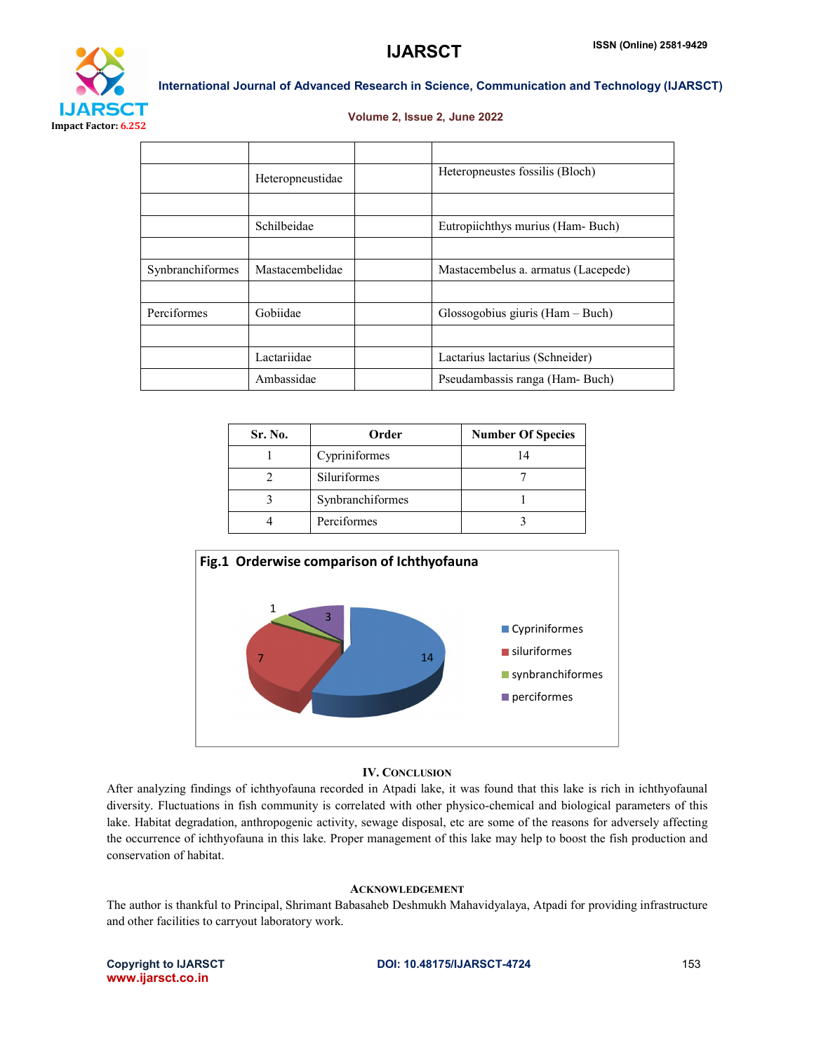

### Volume 2, Issue 2, June 2022

|                  | Heteropneustidae | Heteropneustes fossilis (Bloch)     |
|------------------|------------------|-------------------------------------|
|                  |                  |                                     |
|                  | Schilbeidae      | Eutropiichthys murius (Ham-Buch)    |
|                  |                  |                                     |
| Synbranchiformes | Mastacembelidae  | Mastacembelus a. armatus (Lacepede) |
|                  |                  |                                     |
| Perciformes      | Gobiidae         | $Glossogobius giuris (Ham-Buch)$    |
|                  |                  |                                     |
|                  | Lactariidae      | Lactarius lactarius (Schneider)     |
|                  | Ambassidae       | Pseudambassis ranga (Ham-Buch)      |

| Sr. No. | Order            | <b>Number Of Species</b> |
|---------|------------------|--------------------------|
|         | Cypriniformes    | 14                       |
|         | Siluriformes     |                          |
|         | Synbranchiformes |                          |
|         | Perciformes      |                          |



## IV. CONCLUSION

After analyzing findings of ichthyofauna recorded in Atpadi lake, it was found that this lake is rich in ichthyofaunal diversity. Fluctuations in fish community is correlated with other physico-chemical and biological parameters of this lake. Habitat degradation, anthropogenic activity, sewage disposal, etc are some of the reasons for adversely affecting the occurrence of ichthyofauna in this lake. Proper management of this lake may help to boost the fish production and conservation of habitat.

## ACKNOWLEDGEMENT

The author is thankful to Principal, Shrimant Babasaheb Deshmukh Mahavidyalaya, Atpadi for providing infrastructure and other facilities to carryout laboratory work.